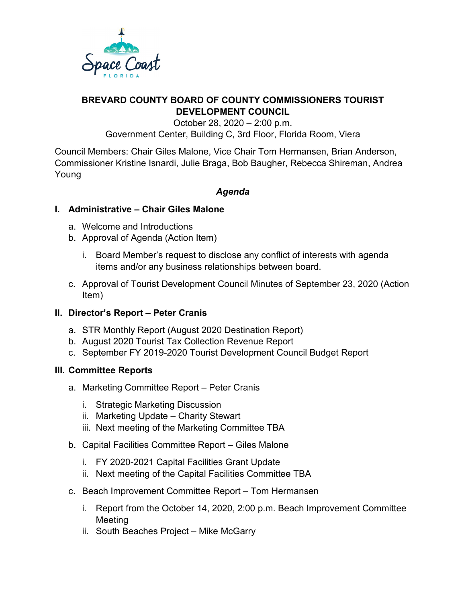

**BREVARD COUNTY BOARD OF COUNTY COMMISSIONERS TOURIST DEVELOPMENT COUNCIL**

October 28, 2020 – 2:00 p.m. Government Center, Building C, 3rd Floor, Florida Room, Viera

Council Members: Chair Giles Malone, Vice Chair Tom Hermansen, Brian Anderson, Commissioner Kristine Isnardi, Julie Braga, Bob Baugher, Rebecca Shireman, Andrea Young

# *Agenda*

### **I. Administrative – Chair Giles Malone**

- a. Welcome and Introductions
- b. Approval of Agenda (Action Item)
	- i. Board Member's request to disclose any conflict of interests with agenda items and/or any business relationships between board.
- c. Approval of Tourist Development Council Minutes of September 23, 2020 (Action Item)

# **II. Director's Report – Peter Cranis**

- a. STR Monthly Report (August 2020 Destination Report)
- b. August 2020 Tourist Tax Collection Revenue Report
- c. September FY 2019-2020 Tourist Development Council Budget Report

### **III. Committee Reports**

- a. Marketing Committee Report Peter Cranis
	- i. Strategic Marketing Discussion
	- ii. Marketing Update Charity Stewart
	- iii. Next meeting of the Marketing Committee TBA
- b. Capital Facilities Committee Report Giles Malone
	- i. FY 2020-2021 Capital Facilities Grant Update
	- ii. Next meeting of the Capital Facilities Committee TBA
- c. Beach Improvement Committee Report Tom Hermansen
	- i. Report from the October 14, 2020, 2:00 p.m. Beach Improvement Committee Meeting
	- ii. South Beaches Project Mike McGarry